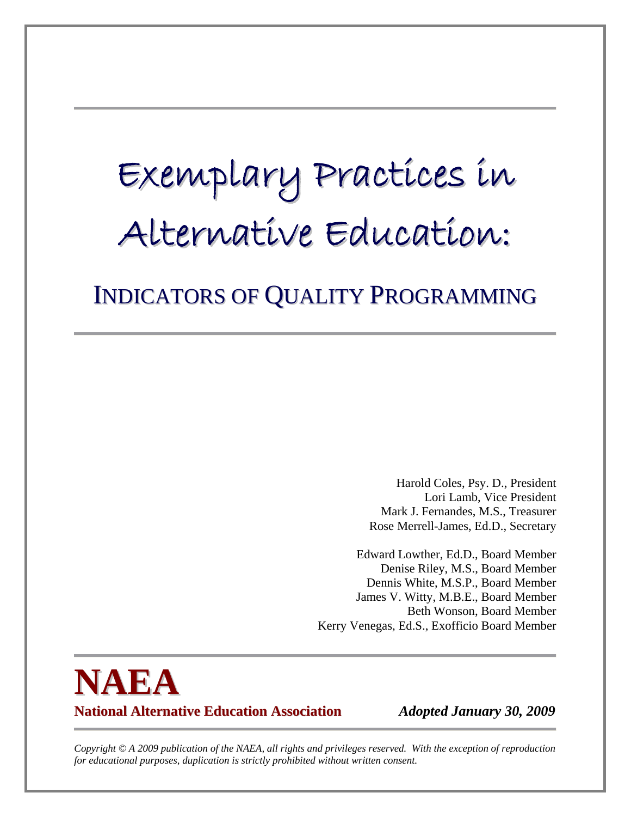# Exemplary Practices in Alternative Education:

# INDICATORS OF QUALITY PROGRAMMING

Harold Coles, Psy. D., President Lori Lamb, Vice President Mark J. Fernandes, M.S., Treasurer Rose Merrell-James, Ed.D., Secretary

Edward Lowther, Ed.D., Board Member Denise Riley, M.S., Board Member Dennis White, M.S.P., Board Member James V. Witty, M.B.E., Board Member Beth Wonson, Board Member Kerry Venegas, Ed.S., Exofficio Board Member

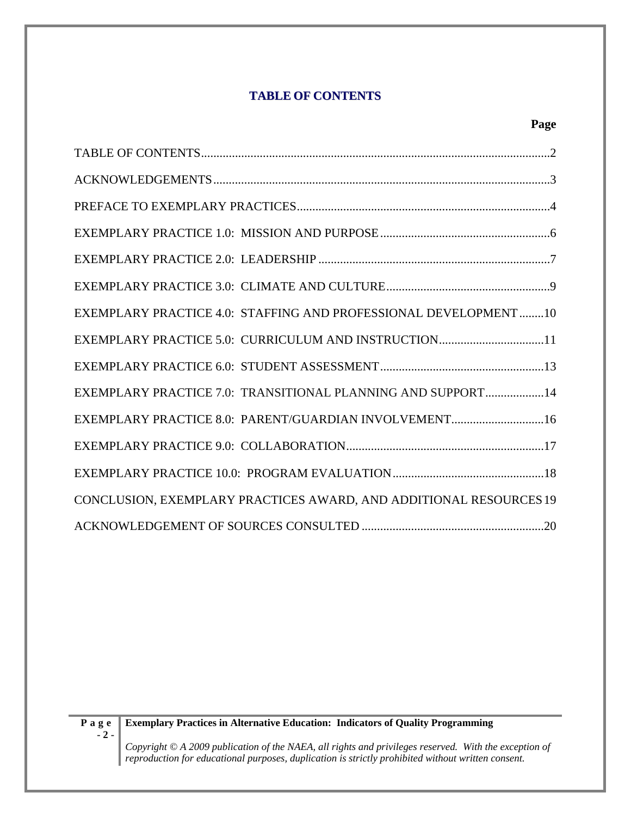## **TABLE OF CONTENTS**

#### **Page**

| EXEMPLARY PRACTICE 4.0: STAFFING AND PROFESSIONAL DEVELOPMENT 10   |
|--------------------------------------------------------------------|
| EXEMPLARY PRACTICE 5.0: CURRICULUM AND INSTRUCTION11               |
|                                                                    |
| EXEMPLARY PRACTICE 7.0: TRANSITIONAL PLANNING AND SUPPORT14        |
| EXEMPLARY PRACTICE 8.0: PARENT/GUARDIAN INVOLVEMENT16              |
|                                                                    |
|                                                                    |
| CONCLUSION, EXEMPLARY PRACTICES AWARD, AND ADDITIONAL RESOURCES 19 |
|                                                                    |

#### **Exemplary Practices in Alternative Education: Indicators of Quality Programming**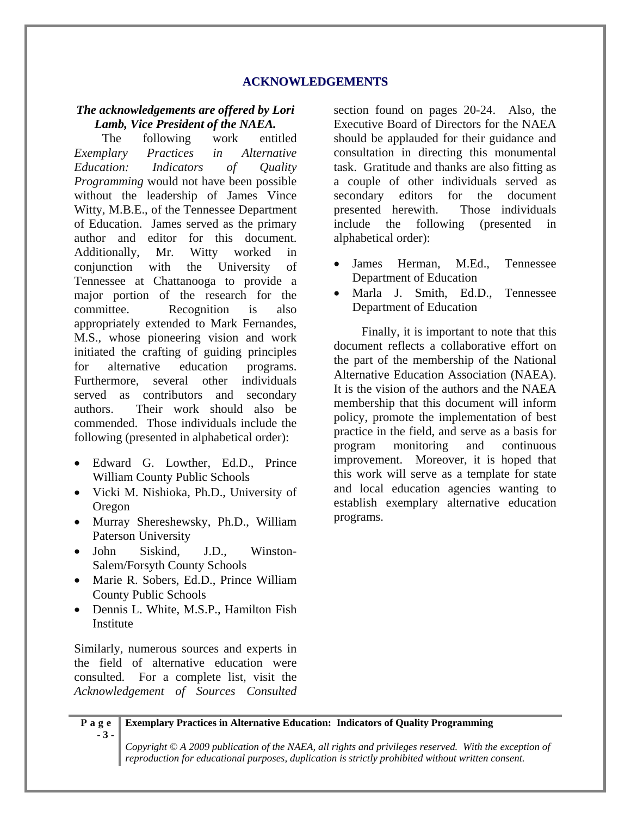#### **ACKNOWLEDGEMENTS**

#### *The acknowledgements are offered by Lori Lamb, Vice President of the NAEA.*

The following work entitled *Exemplary Practices in Alternative Education: Indicators of Quality Programming* would not have been possible without the leadership of James Vince Witty, M.B.E., of the Tennessee Department of Education. James served as the primary author and editor for this document. Additionally, Mr. Witty worked in conjunction with the University of Tennessee at Chattanooga to provide a major portion of the research for the committee. Recognition is also appropriately extended to Mark Fernandes, M.S., whose pioneering vision and work initiated the crafting of guiding principles for alternative education programs. Furthermore, several other individuals served as contributors and secondary authors. Their work should also be commended. Those individuals include the following (presented in alphabetical order):

- Edward G. Lowther, Ed.D., Prince William County Public Schools
- Vicki M. Nishioka, Ph.D., University of Oregon
- Murray Shereshewsky, Ph.D., William Paterson University
- John Siskind, J.D., Winston-Salem/Forsyth County Schools
- Marie R. Sobers, Ed.D., Prince William County Public Schools
- Dennis L. White, M.S.P., Hamilton Fish Institute

Similarly, numerous sources and experts in the field of alternative education were consulted. For a complete list, visit the *Acknowledgement of Sources Consulted* section found on pages 20-24. Also, the Executive Board of Directors for the NAEA should be applauded for their guidance and consultation in directing this monumental task. Gratitude and thanks are also fitting as a couple of other individuals served as secondary editors for the document presented herewith. Those individuals include the following (presented in alphabetical order):

- James Herman, M.Ed., Tennessee Department of Education
- Marla J. Smith, Ed.D., Tennessee Department of Education

Finally, it is important to note that this document reflects a collaborative effort on the part of the membership of the National Alternative Education Association (NAEA). It is the vision of the authors and the NAEA membership that this document will inform policy, promote the implementation of best practice in the field, and serve as a basis for program monitoring and continuous improvement. Moreover, it is hoped that this work will serve as a template for state and local education agencies wanting to establish exemplary alternative education programs.

**Page - 3 - Exemplary Practices in Alternative Education: Indicators of Quality Programming**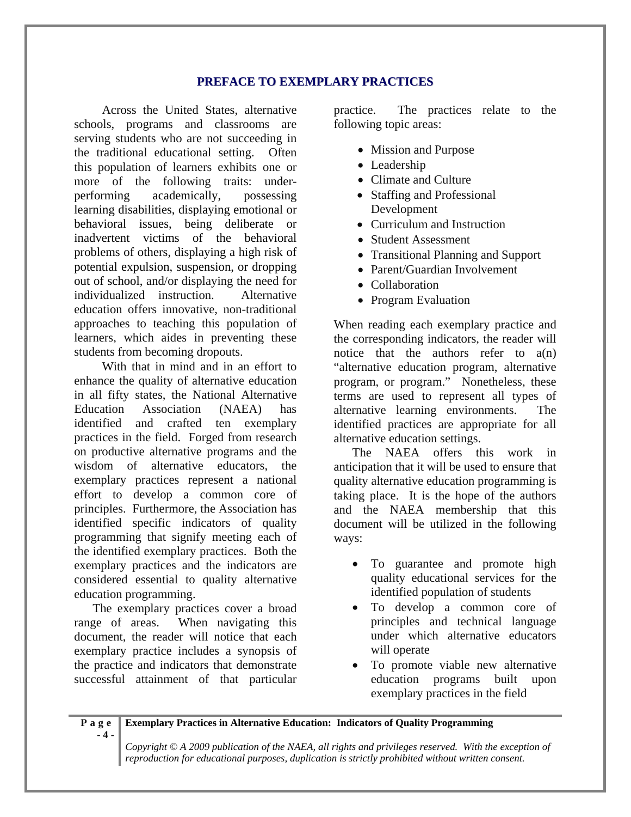#### **PREFACE TO EXEMPLARY PRACTICES**

Across the United States, alternative schools, programs and classrooms are serving students who are not succeeding in the traditional educational setting. Often this population of learners exhibits one or more of the following traits: underperforming academically, possessing learning disabilities, displaying emotional or behavioral issues, being deliberate or inadvertent victims of the behavioral problems of others, displaying a high risk of potential expulsion, suspension, or dropping out of school, and/or displaying the need for individualized instruction. Alternative education offers innovative, non-traditional approaches to teaching this population of learners, which aides in preventing these students from becoming dropouts.

With that in mind and in an effort to enhance the quality of alternative education in all fifty states, the National Alternative Education Association (NAEA) has identified and crafted ten exemplary practices in the field. Forged from research on productive alternative programs and the wisdom of alternative educators, the exemplary practices represent a national effort to develop a common core of principles. Furthermore, the Association has identified specific indicators of quality programming that signify meeting each of the identified exemplary practices. Both the exemplary practices and the indicators are considered essential to quality alternative education programming.

The exemplary practices cover a broad range of areas. When navigating this document, the reader will notice that each exemplary practice includes a synopsis of the practice and indicators that demonstrate successful attainment of that particular

practice. The practices relate to the following topic areas:

- Mission and Purpose
- Leadership
- Climate and Culture
- Staffing and Professional Development
- Curriculum and Instruction
- Student Assessment
- Transitional Planning and Support
- Parent/Guardian Involvement
- Collaboration
- Program Evaluation

When reading each exemplary practice and the corresponding indicators, the reader will notice that the authors refer to  $a(n)$ "alternative education program, alternative program, or program." Nonetheless, these terms are used to represent all types of alternative learning environments. The identified practices are appropriate for all alternative education settings.

The NAEA offers this work in anticipation that it will be used to ensure that quality alternative education programming is taking place. It is the hope of the authors and the NAEA membership that this document will be utilized in the following ways:

- To guarantee and promote high quality educational services for the identified population of students
- To develop a common core of principles and technical language under which alternative educators will operate
- To promote viable new alternative education programs built upon exemplary practices in the field

**Page - 4 - Exemplary Practices in Alternative Education: Indicators of Quality Programming**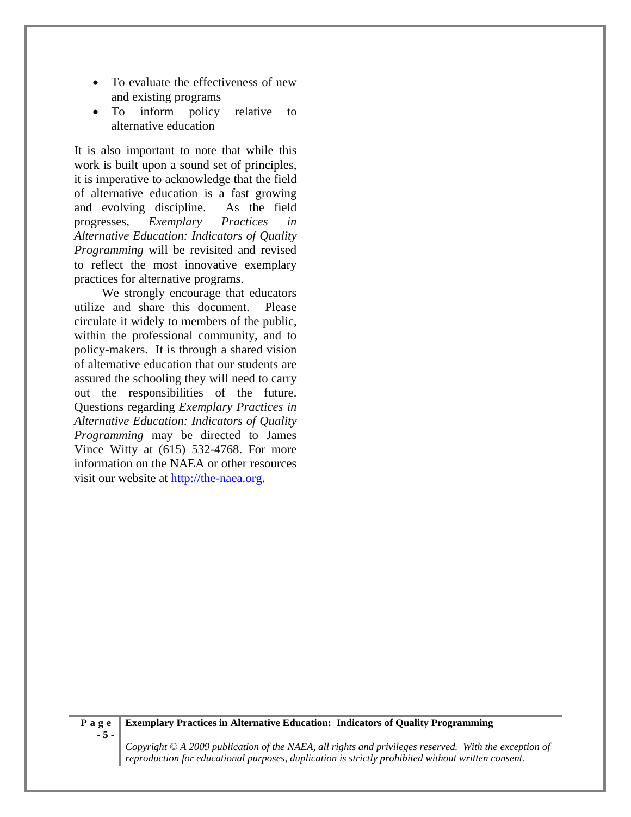- To evaluate the effectiveness of new and existing programs
- To inform policy relative to alternative education

It is also important to note that while this work is built upon a sound set of principles, it is imperative to acknowledge that the field of alternative education is a fast growing and evolving discipline. As the field progresses, *Exemplary Practices in Alternative Education: Indicators of Quality Programming* will be revisited and revised to reflect the most innovative exemplary practices for alternative programs.

We strongly encourage that educators utilize and share this document. Please circulate it widely to members of the public, within the professional community, and to policy-makers. It is through a shared vision of alternative education that our students are assured the schooling they will need to carry out the responsibilities of the future. Questions regarding *Exemplary Practices in Alternative Education: Indicators of Quality Programming* may be directed to James Vince Witty at (615) 532-4768. For more information on the NAEA or other resources visit our website at http://the-naea.org.

#### **Exemplary Practices in Alternative Education: Indicators of Quality Programming**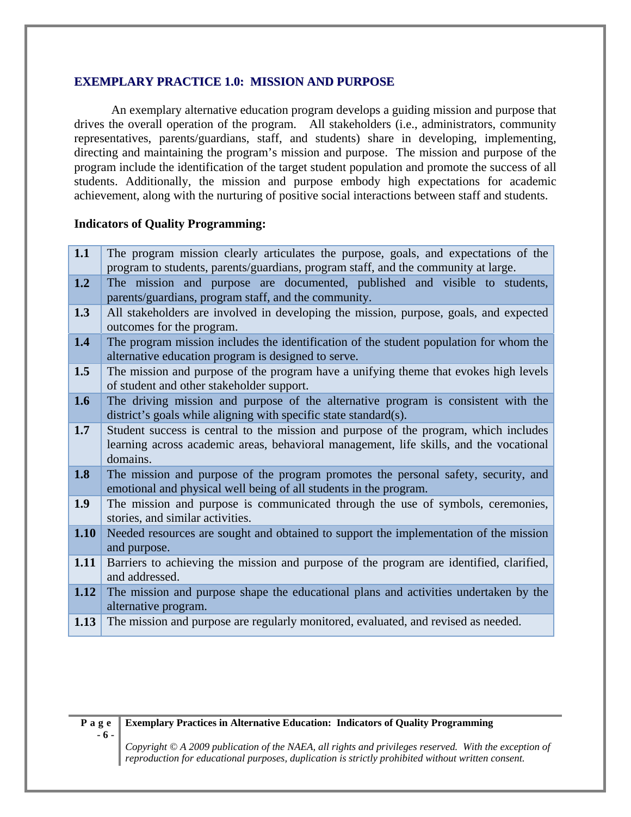#### **EXEMPLARY PRACTICE 1.0: MISSION AND PURPOSE**

An exemplary alternative education program develops a guiding mission and purpose that drives the overall operation of the program. All stakeholders (i.e., administrators, community representatives, parents/guardians, staff, and students) share in developing, implementing, directing and maintaining the program's mission and purpose. The mission and purpose of the program include the identification of the target student population and promote the success of all students. Additionally, the mission and purpose embody high expectations for academic achievement, along with the nurturing of positive social interactions between staff and students.

#### **Indicators of Quality Programming:**

| 1.1  | The program mission clearly articulates the purpose, goals, and expectations of the<br>program to students, parents/guardians, program staff, and the community at large.                  |
|------|--------------------------------------------------------------------------------------------------------------------------------------------------------------------------------------------|
| 1.2  | The mission and purpose are documented, published and visible to students,<br>parents/guardians, program staff, and the community.                                                         |
| 1.3  | All stakeholders are involved in developing the mission, purpose, goals, and expected<br>outcomes for the program.                                                                         |
| 1.4  | The program mission includes the identification of the student population for whom the<br>alternative education program is designed to serve.                                              |
| 1.5  | The mission and purpose of the program have a unifying theme that evokes high levels<br>of student and other stakeholder support.                                                          |
| 1.6  | The driving mission and purpose of the alternative program is consistent with the<br>district's goals while aligning with specific state standard(s).                                      |
| 1.7  | Student success is central to the mission and purpose of the program, which includes<br>learning across academic areas, behavioral management, life skills, and the vocational<br>domains. |
| 1.8  | The mission and purpose of the program promotes the personal safety, security, and<br>emotional and physical well being of all students in the program.                                    |
| 1.9  | The mission and purpose is communicated through the use of symbols, ceremonies,<br>stories, and similar activities.                                                                        |
| 1.10 | Needed resources are sought and obtained to support the implementation of the mission<br>and purpose.                                                                                      |
| 1.11 | Barriers to achieving the mission and purpose of the program are identified, clarified,<br>and addressed.                                                                                  |
| 1.12 | The mission and purpose shape the educational plans and activities undertaken by the<br>alternative program.                                                                               |
| 1.13 | The mission and purpose are regularly monitored, evaluated, and revised as needed.                                                                                                         |



#### **Exemplary Practices in Alternative Education: Indicators of Quality Programming**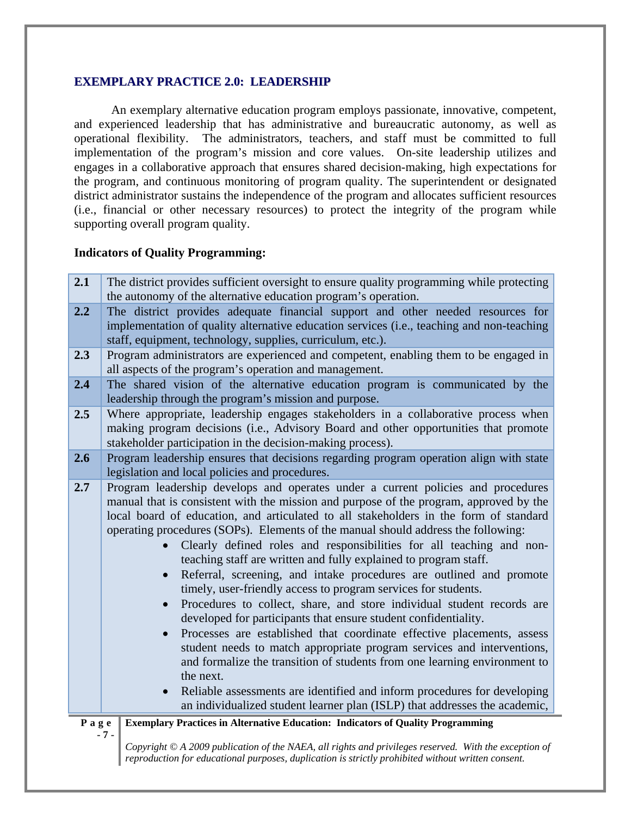#### **EXEMPLARY PRACTICE 2.0: LEADERSHIP**

An exemplary alternative education program employs passionate, innovative, competent, and experienced leadership that has administrative and bureaucratic autonomy, as well as operational flexibility. The administrators, teachers, and staff must be committed to full implementation of the program's mission and core values. On-site leadership utilizes and engages in a collaborative approach that ensures shared decision-making, high expectations for the program, and continuous monitoring of program quality. The superintendent or designated district administrator sustains the independence of the program and allocates sufficient resources (i.e., financial or other necessary resources) to protect the integrity of the program while supporting overall program quality.

#### **Indicators of Quality Programming:**

| 2.1  | The district provides sufficient oversight to ensure quality programming while protecting<br>the autonomy of the alternative education program's operation.                                                                                                                                                                                                                                                                                                                                                                                                                                                                                                                                                                                                                                                                                                                                                                                                                                                                                                                                                                                                                                                     |
|------|-----------------------------------------------------------------------------------------------------------------------------------------------------------------------------------------------------------------------------------------------------------------------------------------------------------------------------------------------------------------------------------------------------------------------------------------------------------------------------------------------------------------------------------------------------------------------------------------------------------------------------------------------------------------------------------------------------------------------------------------------------------------------------------------------------------------------------------------------------------------------------------------------------------------------------------------------------------------------------------------------------------------------------------------------------------------------------------------------------------------------------------------------------------------------------------------------------------------|
| 2.2  | The district provides adequate financial support and other needed resources for<br>implementation of quality alternative education services (i.e., teaching and non-teaching<br>staff, equipment, technology, supplies, curriculum, etc.).                                                                                                                                                                                                                                                                                                                                                                                                                                                                                                                                                                                                                                                                                                                                                                                                                                                                                                                                                                      |
| 2.3  | Program administrators are experienced and competent, enabling them to be engaged in<br>all aspects of the program's operation and management.                                                                                                                                                                                                                                                                                                                                                                                                                                                                                                                                                                                                                                                                                                                                                                                                                                                                                                                                                                                                                                                                  |
| 2.4  | The shared vision of the alternative education program is communicated by the<br>leadership through the program's mission and purpose.                                                                                                                                                                                                                                                                                                                                                                                                                                                                                                                                                                                                                                                                                                                                                                                                                                                                                                                                                                                                                                                                          |
| 2.5  | Where appropriate, leadership engages stakeholders in a collaborative process when<br>making program decisions (i.e., Advisory Board and other opportunities that promote<br>stakeholder participation in the decision-making process).                                                                                                                                                                                                                                                                                                                                                                                                                                                                                                                                                                                                                                                                                                                                                                                                                                                                                                                                                                         |
| 2.6  | Program leadership ensures that decisions regarding program operation align with state<br>legislation and local policies and procedures.                                                                                                                                                                                                                                                                                                                                                                                                                                                                                                                                                                                                                                                                                                                                                                                                                                                                                                                                                                                                                                                                        |
| 2.7  | Program leadership develops and operates under a current policies and procedures<br>manual that is consistent with the mission and purpose of the program, approved by the<br>local board of education, and articulated to all stakeholders in the form of standard<br>operating procedures (SOPs). Elements of the manual should address the following:<br>Clearly defined roles and responsibilities for all teaching and non-<br>teaching staff are written and fully explained to program staff.<br>Referral, screening, and intake procedures are outlined and promote<br>timely, user-friendly access to program services for students.<br>Procedures to collect, share, and store individual student records are<br>developed for participants that ensure student confidentiality.<br>Processes are established that coordinate effective placements, assess<br>student needs to match appropriate program services and interventions,<br>and formalize the transition of students from one learning environment to<br>the next.<br>Reliable assessments are identified and inform procedures for developing<br>$\bullet$<br>an individualized student learner plan (ISLP) that addresses the academic, |
| Page | <b>Exemplary Practices in Alternative Education: Indicators of Quality Programming</b>                                                                                                                                                                                                                                                                                                                                                                                                                                                                                                                                                                                                                                                                                                                                                                                                                                                                                                                                                                                                                                                                                                                          |
|      | $-7-$<br>Copyright © A 2009 publication of the NAEA, all rights and privileges reserved. With the exception of<br>reproduction for educational purposes, duplication is strictly prohibited without written consent.                                                                                                                                                                                                                                                                                                                                                                                                                                                                                                                                                                                                                                                                                                                                                                                                                                                                                                                                                                                            |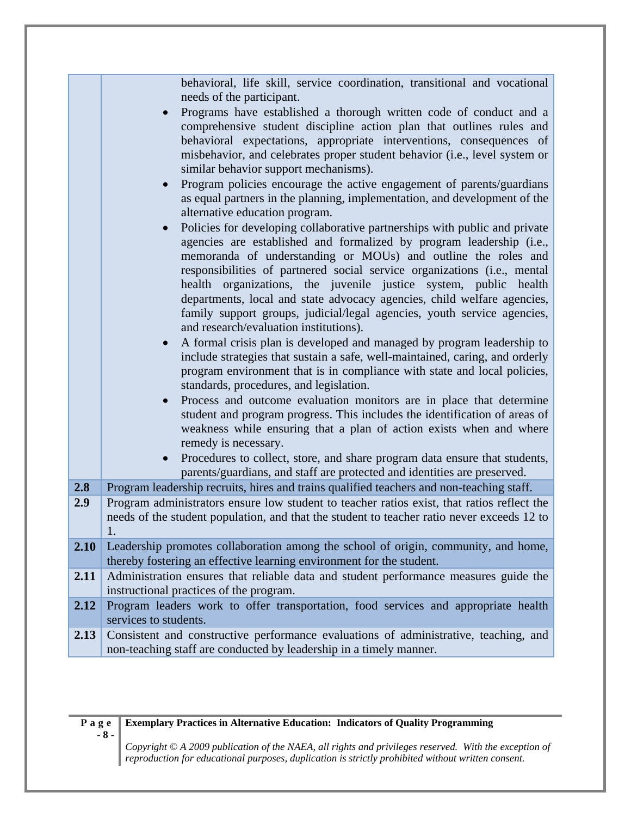|      | behavioral, life skill, service coordination, transitional and vocational<br>needs of the participant.<br>Programs have established a thorough written code of conduct and a<br>comprehensive student discipline action plan that outlines rules and<br>behavioral expectations, appropriate interventions, consequences of<br>misbehavior, and celebrates proper student behavior (i.e., level system or<br>similar behavior support mechanisms).<br>Program policies encourage the active engagement of parents/guardians<br>as equal partners in the planning, implementation, and development of the<br>alternative education program.<br>Policies for developing collaborative partnerships with public and private<br>$\bullet$<br>agencies are established and formalized by program leadership (i.e.,<br>memoranda of understanding or MOUs) and outline the roles and<br>responsibilities of partnered social service organizations (i.e., mental<br>health organizations, the juvenile justice system, public health<br>departments, local and state advocacy agencies, child welfare agencies,<br>family support groups, judicial/legal agencies, youth service agencies,<br>and research/evaluation institutions).<br>A formal crisis plan is developed and managed by program leadership to<br>include strategies that sustain a safe, well-maintained, caring, and orderly<br>program environment that is in compliance with state and local policies,<br>standards, procedures, and legislation.<br>Process and outcome evaluation monitors are in place that determine<br>$\bullet$<br>student and program progress. This includes the identification of areas of<br>weakness while ensuring that a plan of action exists when and where<br>remedy is necessary.<br>Procedures to collect, store, and share program data ensure that students,<br>$\bullet$<br>parents/guardians, and staff are protected and identities are preserved. |
|------|---------------------------------------------------------------------------------------------------------------------------------------------------------------------------------------------------------------------------------------------------------------------------------------------------------------------------------------------------------------------------------------------------------------------------------------------------------------------------------------------------------------------------------------------------------------------------------------------------------------------------------------------------------------------------------------------------------------------------------------------------------------------------------------------------------------------------------------------------------------------------------------------------------------------------------------------------------------------------------------------------------------------------------------------------------------------------------------------------------------------------------------------------------------------------------------------------------------------------------------------------------------------------------------------------------------------------------------------------------------------------------------------------------------------------------------------------------------------------------------------------------------------------------------------------------------------------------------------------------------------------------------------------------------------------------------------------------------------------------------------------------------------------------------------------------------------------------------------------------------------------------------------------------------------------------------------------------|
| 2.8  | Program leadership recruits, hires and trains qualified teachers and non-teaching staff.                                                                                                                                                                                                                                                                                                                                                                                                                                                                                                                                                                                                                                                                                                                                                                                                                                                                                                                                                                                                                                                                                                                                                                                                                                                                                                                                                                                                                                                                                                                                                                                                                                                                                                                                                                                                                                                                |
| 2.9  | Program administrators ensure low student to teacher ratios exist, that ratios reflect the<br>needs of the student population, and that the student to teacher ratio never exceeds 12 to<br>1.                                                                                                                                                                                                                                                                                                                                                                                                                                                                                                                                                                                                                                                                                                                                                                                                                                                                                                                                                                                                                                                                                                                                                                                                                                                                                                                                                                                                                                                                                                                                                                                                                                                                                                                                                          |
| 2.10 | Leadership promotes collaboration among the school of origin, community, and home,<br>thereby fostering an effective learning environment for the student.                                                                                                                                                                                                                                                                                                                                                                                                                                                                                                                                                                                                                                                                                                                                                                                                                                                                                                                                                                                                                                                                                                                                                                                                                                                                                                                                                                                                                                                                                                                                                                                                                                                                                                                                                                                              |
| 2.11 | Administration ensures that reliable data and student performance measures guide the<br>instructional practices of the program.                                                                                                                                                                                                                                                                                                                                                                                                                                                                                                                                                                                                                                                                                                                                                                                                                                                                                                                                                                                                                                                                                                                                                                                                                                                                                                                                                                                                                                                                                                                                                                                                                                                                                                                                                                                                                         |
| 2.12 | Program leaders work to offer transportation, food services and appropriate health<br>services to students.                                                                                                                                                                                                                                                                                                                                                                                                                                                                                                                                                                                                                                                                                                                                                                                                                                                                                                                                                                                                                                                                                                                                                                                                                                                                                                                                                                                                                                                                                                                                                                                                                                                                                                                                                                                                                                             |
| 2.13 | Consistent and constructive performance evaluations of administrative, teaching, and<br>non-teaching staff are conducted by leadership in a timely manner.                                                                                                                                                                                                                                                                                                                                                                                                                                                                                                                                                                                                                                                                                                                                                                                                                                                                                                                                                                                                                                                                                                                                                                                                                                                                                                                                                                                                                                                                                                                                                                                                                                                                                                                                                                                              |

**Page - 8 -** 

### **Exemplary Practices in Alternative Education: Indicators of Quality Programming**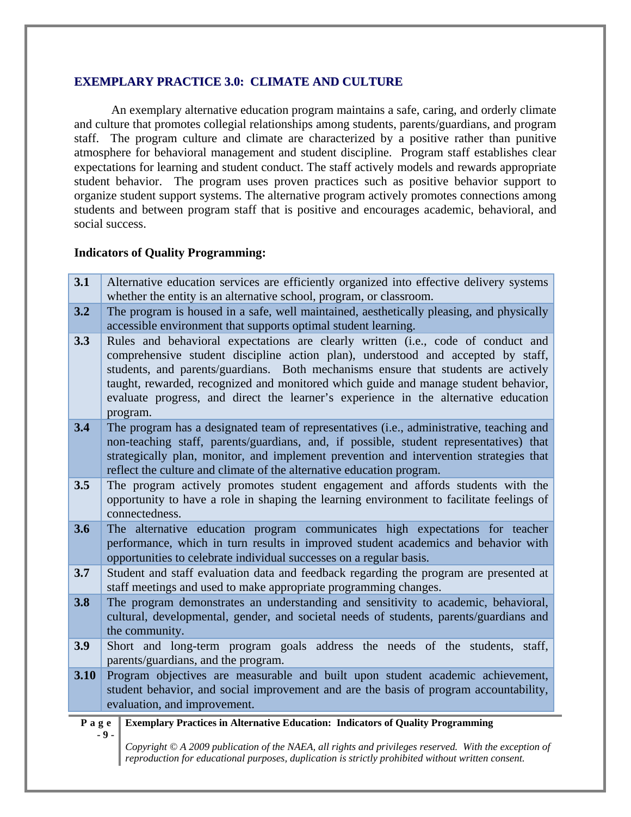#### **EXEMPLARY PRACTICE 3.0: CLIMATE AND CULTURE**

An exemplary alternative education program maintains a safe, caring, and orderly climate and culture that promotes collegial relationships among students, parents/guardians, and program staff. The program culture and climate are characterized by a positive rather than punitive atmosphere for behavioral management and student discipline. Program staff establishes clear expectations for learning and student conduct. The staff actively models and rewards appropriate student behavior. The program uses proven practices such as positive behavior support to organize student support systems. The alternative program actively promotes connections among students and between program staff that is positive and encourages academic, behavioral, and social success.

#### **Indicators of Quality Programming:**

| 3.1  | Alternative education services are efficiently organized into effective delivery systems                                                                                                                                                                                                                                                                                                                                                             |
|------|------------------------------------------------------------------------------------------------------------------------------------------------------------------------------------------------------------------------------------------------------------------------------------------------------------------------------------------------------------------------------------------------------------------------------------------------------|
|      | whether the entity is an alternative school, program, or classroom.                                                                                                                                                                                                                                                                                                                                                                                  |
| 3.2  | The program is housed in a safe, well maintained, aesthetically pleasing, and physically<br>accessible environment that supports optimal student learning.                                                                                                                                                                                                                                                                                           |
| 3.3  | Rules and behavioral expectations are clearly written (i.e., code of conduct and<br>comprehensive student discipline action plan), understood and accepted by staff,<br>students, and parents/guardians. Both mechanisms ensure that students are actively<br>taught, rewarded, recognized and monitored which guide and manage student behavior,<br>evaluate progress, and direct the learner's experience in the alternative education<br>program. |
| 3.4  | The program has a designated team of representatives (i.e., administrative, teaching and<br>non-teaching staff, parents/guardians, and, if possible, student representatives) that<br>strategically plan, monitor, and implement prevention and intervention strategies that<br>reflect the culture and climate of the alternative education program.                                                                                                |
| 3.5  | The program actively promotes student engagement and affords students with the<br>opportunity to have a role in shaping the learning environment to facilitate feelings of<br>connectedness.                                                                                                                                                                                                                                                         |
| 3.6  | The alternative education program communicates high expectations for teacher<br>performance, which in turn results in improved student academics and behavior with<br>opportunities to celebrate individual successes on a regular basis.                                                                                                                                                                                                            |
| 3.7  | Student and staff evaluation data and feedback regarding the program are presented at<br>staff meetings and used to make appropriate programming changes.                                                                                                                                                                                                                                                                                            |
| 3.8  | The program demonstrates an understanding and sensitivity to academic, behavioral,<br>cultural, developmental, gender, and societal needs of students, parents/guardians and<br>the community.                                                                                                                                                                                                                                                       |
| 3.9  | Short and long-term program goals address the needs of the students, staff,<br>parents/guardians, and the program.                                                                                                                                                                                                                                                                                                                                   |
| 3.10 | Program objectives are measurable and built upon student academic achievement,                                                                                                                                                                                                                                                                                                                                                                       |
|      | student behavior, and social improvement and are the basis of program accountability,                                                                                                                                                                                                                                                                                                                                                                |
|      | evaluation, and improvement.                                                                                                                                                                                                                                                                                                                                                                                                                         |
| Page | <b>Exemplary Practices in Alternative Education: Indicators of Quality Programming</b>                                                                                                                                                                                                                                                                                                                                                               |
|      | $-9-$<br>Copyright $\odot$ A 2009 publication of the NAEA, all rights and privileges reserved. With the exception of<br>reproduction for educational purposes, duplication is strictly prohibited without written consent.                                                                                                                                                                                                                           |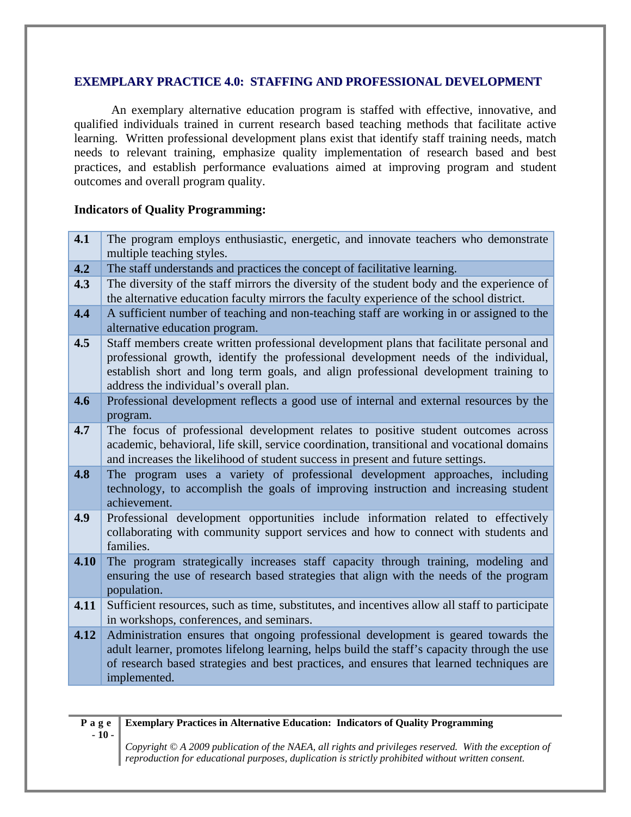#### **EXEMPLARY PRACTICE 4.0: STAFFING AND PROFESSIONAL DEVELOPMENT**

An exemplary alternative education program is staffed with effective, innovative, and qualified individuals trained in current research based teaching methods that facilitate active learning. Written professional development plans exist that identify staff training needs, match needs to relevant training, emphasize quality implementation of research based and best practices, and establish performance evaluations aimed at improving program and student outcomes and overall program quality.

#### **Indicators of Quality Programming:**

| 4.1  | The program employs enthusiastic, energetic, and innovate teachers who demonstrate<br>multiple teaching styles.                                                                                                                                                                                                  |
|------|------------------------------------------------------------------------------------------------------------------------------------------------------------------------------------------------------------------------------------------------------------------------------------------------------------------|
| 4.2  | The staff understands and practices the concept of facilitative learning.                                                                                                                                                                                                                                        |
| 4.3  | The diversity of the staff mirrors the diversity of the student body and the experience of<br>the alternative education faculty mirrors the faculty experience of the school district.                                                                                                                           |
| 4.4  | A sufficient number of teaching and non-teaching staff are working in or assigned to the<br>alternative education program.                                                                                                                                                                                       |
| 4.5  | Staff members create written professional development plans that facilitate personal and<br>professional growth, identify the professional development needs of the individual,<br>establish short and long term goals, and align professional development training to<br>address the individual's overall plan. |
| 4.6  | Professional development reflects a good use of internal and external resources by the<br>program.                                                                                                                                                                                                               |
| 4.7  | The focus of professional development relates to positive student outcomes across<br>academic, behavioral, life skill, service coordination, transitional and vocational domains<br>and increases the likelihood of student success in present and future settings.                                              |
| 4.8  | The program uses a variety of professional development approaches, including<br>technology, to accomplish the goals of improving instruction and increasing student<br>achievement.                                                                                                                              |
| 4.9  | Professional development opportunities include information related to effectively<br>collaborating with community support services and how to connect with students and<br>families.                                                                                                                             |
| 4.10 | The program strategically increases staff capacity through training, modeling and<br>ensuring the use of research based strategies that align with the needs of the program<br>population.                                                                                                                       |
| 4.11 | Sufficient resources, such as time, substitutes, and incentives allow all staff to participate<br>in workshops, conferences, and seminars.                                                                                                                                                                       |
| 4.12 | Administration ensures that ongoing professional development is geared towards the<br>adult learner, promotes lifelong learning, helps build the staff's capacity through the use<br>of research based strategies and best practices, and ensures that learned techniques are<br>implemented.                    |

**Page - 10 - Exemplary Practices in Alternative Education: Indicators of Quality Programming**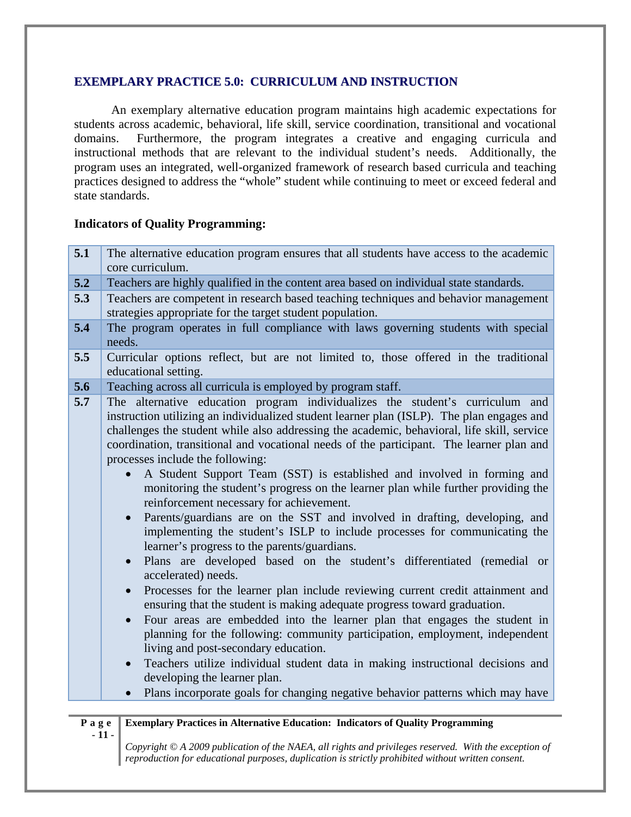#### **EXEMPLARY PRACTICE 5.0: CURRICULUM AND INSTRUCTION**

An exemplary alternative education program maintains high academic expectations for students across academic, behavioral, life skill, service coordination, transitional and vocational domains. Furthermore, the program integrates a creative and engaging curricula and instructional methods that are relevant to the individual student's needs. Additionally, the program uses an integrated, well-organized framework of research based curricula and teaching practices designed to address the "whole" student while continuing to meet or exceed federal and state standards.

#### **Indicators of Quality Programming:**

| 5.1  | The alternative education program ensures that all students have access to the academic<br>core curriculum.                                                                                                                                                                                                                                                                                                                                                                                                                                                                                                                                                                                                                                                                                                                                                                                                                                                                                                                                                                                                                                                                                                                                                                                                                                                                                                                                                                                                                                                  |
|------|--------------------------------------------------------------------------------------------------------------------------------------------------------------------------------------------------------------------------------------------------------------------------------------------------------------------------------------------------------------------------------------------------------------------------------------------------------------------------------------------------------------------------------------------------------------------------------------------------------------------------------------------------------------------------------------------------------------------------------------------------------------------------------------------------------------------------------------------------------------------------------------------------------------------------------------------------------------------------------------------------------------------------------------------------------------------------------------------------------------------------------------------------------------------------------------------------------------------------------------------------------------------------------------------------------------------------------------------------------------------------------------------------------------------------------------------------------------------------------------------------------------------------------------------------------------|
| 5.2  | Teachers are highly qualified in the content area based on individual state standards.                                                                                                                                                                                                                                                                                                                                                                                                                                                                                                                                                                                                                                                                                                                                                                                                                                                                                                                                                                                                                                                                                                                                                                                                                                                                                                                                                                                                                                                                       |
| 5.3  | Teachers are competent in research based teaching techniques and behavior management<br>strategies appropriate for the target student population.                                                                                                                                                                                                                                                                                                                                                                                                                                                                                                                                                                                                                                                                                                                                                                                                                                                                                                                                                                                                                                                                                                                                                                                                                                                                                                                                                                                                            |
| 5.4  | The program operates in full compliance with laws governing students with special<br>needs.                                                                                                                                                                                                                                                                                                                                                                                                                                                                                                                                                                                                                                                                                                                                                                                                                                                                                                                                                                                                                                                                                                                                                                                                                                                                                                                                                                                                                                                                  |
| 5.5  | Curricular options reflect, but are not limited to, those offered in the traditional<br>educational setting.                                                                                                                                                                                                                                                                                                                                                                                                                                                                                                                                                                                                                                                                                                                                                                                                                                                                                                                                                                                                                                                                                                                                                                                                                                                                                                                                                                                                                                                 |
| 5.6  | Teaching across all curricula is employed by program staff.                                                                                                                                                                                                                                                                                                                                                                                                                                                                                                                                                                                                                                                                                                                                                                                                                                                                                                                                                                                                                                                                                                                                                                                                                                                                                                                                                                                                                                                                                                  |
| 5.7  | The alternative education program individualizes the student's curriculum and<br>instruction utilizing an individualized student learner plan (ISLP). The plan engages and<br>challenges the student while also addressing the academic, behavioral, life skill, service<br>coordination, transitional and vocational needs of the participant. The learner plan and<br>processes include the following:<br>A Student Support Team (SST) is established and involved in forming and<br>monitoring the student's progress on the learner plan while further providing the<br>reinforcement necessary for achievement.<br>Parents/guardians are on the SST and involved in drafting, developing, and<br>implementing the student's ISLP to include processes for communicating the<br>learner's progress to the parents/guardians.<br>Plans are developed based on the student's differentiated (remedial or<br>$\bullet$<br>accelerated) needs.<br>Processes for the learner plan include reviewing current credit attainment and<br>ensuring that the student is making adequate progress toward graduation.<br>Four areas are embedded into the learner plan that engages the student in<br>$\bullet$<br>planning for the following: community participation, employment, independent<br>living and post-secondary education.<br>Teachers utilize individual student data in making instructional decisions and<br>$\bullet$<br>developing the learner plan.<br>Plans incorporate goals for changing negative behavior patterns which may have<br>$\bullet$ |
|      |                                                                                                                                                                                                                                                                                                                                                                                                                                                                                                                                                                                                                                                                                                                                                                                                                                                                                                                                                                                                                                                                                                                                                                                                                                                                                                                                                                                                                                                                                                                                                              |
| Page | <b>Exemplary Practices in Alternative Education: Indicators of Quality Programming</b><br>$-11-$<br>Copyright $\odot$ A 2009 publication of the NAEA, all rights and privileges reserved. With the exception of                                                                                                                                                                                                                                                                                                                                                                                                                                                                                                                                                                                                                                                                                                                                                                                                                                                                                                                                                                                                                                                                                                                                                                                                                                                                                                                                              |
|      | reproduction for educational purposes, duplication is strictly prohibited without written consent.                                                                                                                                                                                                                                                                                                                                                                                                                                                                                                                                                                                                                                                                                                                                                                                                                                                                                                                                                                                                                                                                                                                                                                                                                                                                                                                                                                                                                                                           |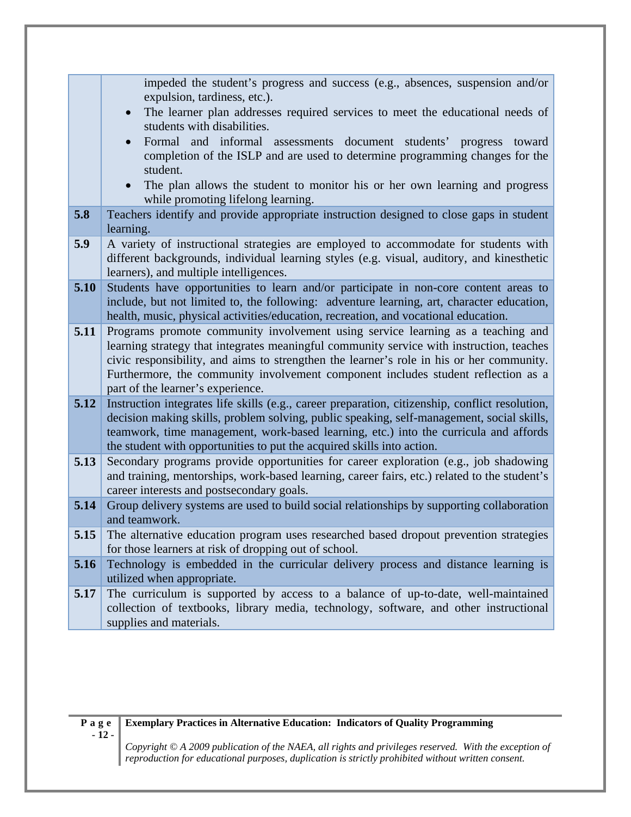|      | impeded the student's progress and success (e.g., absences, suspension and/or                                                                                                                                                                                                                                                                                                                     |
|------|---------------------------------------------------------------------------------------------------------------------------------------------------------------------------------------------------------------------------------------------------------------------------------------------------------------------------------------------------------------------------------------------------|
|      | expulsion, tardiness, etc.).                                                                                                                                                                                                                                                                                                                                                                      |
|      | The learner plan addresses required services to meet the educational needs of<br>students with disabilities.                                                                                                                                                                                                                                                                                      |
|      | Formal and informal assessments document students' progress<br>toward<br>$\bullet$<br>completion of the ISLP and are used to determine programming changes for the<br>student.                                                                                                                                                                                                                    |
|      | The plan allows the student to monitor his or her own learning and progress<br>$\bullet$<br>while promoting lifelong learning.                                                                                                                                                                                                                                                                    |
| 5.8  | Teachers identify and provide appropriate instruction designed to close gaps in student<br>learning.                                                                                                                                                                                                                                                                                              |
| 5.9  | A variety of instructional strategies are employed to accommodate for students with<br>different backgrounds, individual learning styles (e.g. visual, auditory, and kinesthetic<br>learners), and multiple intelligences.                                                                                                                                                                        |
| 5.10 | Students have opportunities to learn and/or participate in non-core content areas to<br>include, but not limited to, the following: adventure learning, art, character education,<br>health, music, physical activities/education, recreation, and vocational education.                                                                                                                          |
| 5.11 | Programs promote community involvement using service learning as a teaching and<br>learning strategy that integrates meaningful community service with instruction, teaches<br>civic responsibility, and aims to strengthen the learner's role in his or her community.<br>Furthermore, the community involvement component includes student reflection as a<br>part of the learner's experience. |
| 5.12 | Instruction integrates life skills (e.g., career preparation, citizenship, conflict resolution,<br>decision making skills, problem solving, public speaking, self-management, social skills,<br>teamwork, time management, work-based learning, etc.) into the curricula and affords<br>the student with opportunities to put the acquired skills into action.                                    |
| 5.13 | Secondary programs provide opportunities for career exploration (e.g., job shadowing<br>and training, mentorships, work-based learning, career fairs, etc.) related to the student's<br>career interests and postsecondary goals.                                                                                                                                                                 |
| 5.14 | Group delivery systems are used to build social relationships by supporting collaboration<br>and teamwork.                                                                                                                                                                                                                                                                                        |
| 5.15 | The alternative education program uses researched based dropout prevention strategies<br>for those learners at risk of dropping out of school.                                                                                                                                                                                                                                                    |
| 5.16 | Technology is embedded in the curricular delivery process and distance learning is<br>utilized when appropriate.                                                                                                                                                                                                                                                                                  |
| 5.17 | The curriculum is supported by access to a balance of up-to-date, well-maintained<br>collection of textbooks, library media, technology, software, and other instructional<br>supplies and materials.                                                                                                                                                                                             |

#### **Exemplary Practices in Alternative Education: Indicators of Quality Programming**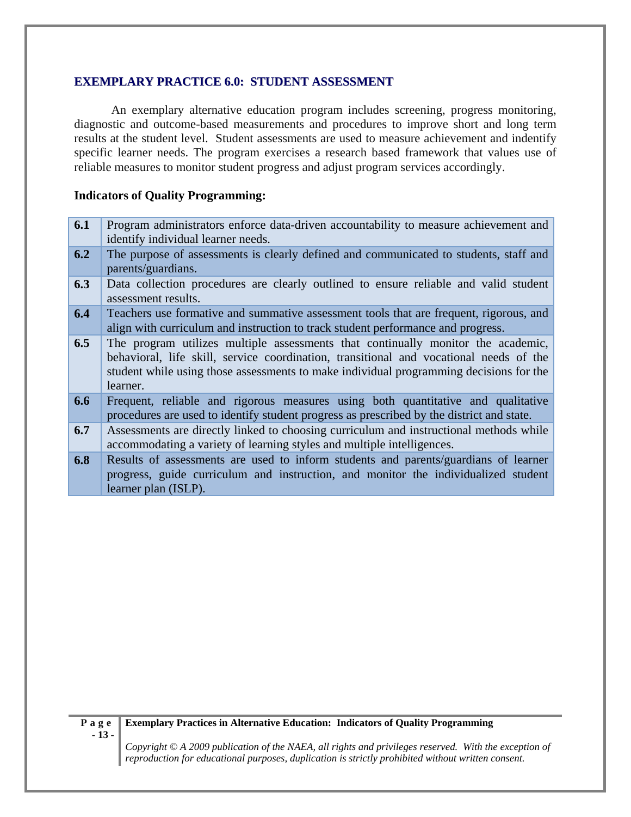#### **EXEMPLARY PRACTICE 6.0: STUDENT ASSESSMENT**

An exemplary alternative education program includes screening, progress monitoring, diagnostic and outcome-based measurements and procedures to improve short and long term results at the student level. Student assessments are used to measure achievement and indentify specific learner needs. The program exercises a research based framework that values use of reliable measures to monitor student progress and adjust program services accordingly.

#### **Indicators of Quality Programming:**

- **6.1** Program administrators enforce data-driven accountability to measure achievement and identify individual learner needs.
- **6.2** The purpose of assessments is clearly defined and communicated to students, staff and parents/guardians.
- **6.3** Data collection procedures are clearly outlined to ensure reliable and valid student assessment results.
- **6.4** Teachers use formative and summative assessment tools that are frequent, rigorous, and align with curriculum and instruction to track student performance and progress.
- **6.5** The program utilizes multiple assessments that continually monitor the academic, behavioral, life skill, service coordination, transitional and vocational needs of the student while using those assessments to make individual programming decisions for the learner.
- **6.6** Frequent, reliable and rigorous measures using both quantitative and qualitative procedures are used to identify student progress as prescribed by the district and state.
- **6.7** Assessments are directly linked to choosing curriculum and instructional methods while accommodating a variety of learning styles and multiple intelligences.
- **6.8 Results** of assessments are used to inform students and parents/guardians of learner progress, guide curriculum and instruction, and monitor the individualized student learner plan (ISLP).

#### **Exemplary Practices in Alternative Education: Indicators of Quality Programming**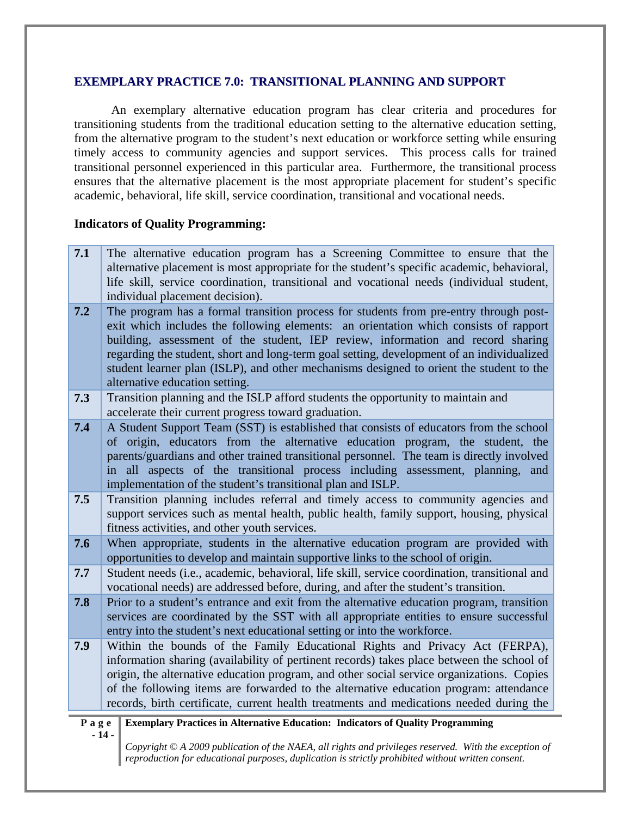#### **EXEMPLARY PRACTICE 7.0: TRANSITIONAL PLANNING AND SUPPORT**

An exemplary alternative education program has clear criteria and procedures for transitioning students from the traditional education setting to the alternative education setting, from the alternative program to the student's next education or workforce setting while ensuring timely access to community agencies and support services. This process calls for trained transitional personnel experienced in this particular area. Furthermore, the transitional process ensures that the alternative placement is the most appropriate placement for student's specific academic, behavioral, life skill, service coordination, transitional and vocational needs.

#### **Indicators of Quality Programming:**

**7.1** The alternative education program has a Screening Committee to ensure that the alternative placement is most appropriate for the student's specific academic, behavioral, life skill, service coordination, transitional and vocational needs (individual student, individual placement decision).

**7.2** The program has a formal transition process for students from pre-entry through postexit which includes the following elements: an orientation which consists of rapport building, assessment of the student, IEP review, information and record sharing regarding the student, short and long-term goal setting, development of an individualized student learner plan (ISLP), and other mechanisms designed to orient the student to the alternative education setting.

**7.3** Transition planning and the ISLP afford students the opportunity to maintain and accelerate their current progress toward graduation.

**7.4** A Student Support Team (SST) is established that consists of educators from the school of origin, educators from the alternative education program, the student, the parents/guardians and other trained transitional personnel. The team is directly involved in all aspects of the transitional process including assessment, planning, and implementation of the student's transitional plan and ISLP.

- **7.5** Transition planning includes referral and timely access to community agencies and support services such as mental health, public health, family support, housing, physical fitness activities, and other youth services.
- **7.6** When appropriate, students in the alternative education program are provided with opportunities to develop and maintain supportive links to the school of origin.
- **7.7** Student needs (i.e., academic, behavioral, life skill, service coordination, transitional and vocational needs) are addressed before, during, and after the student's transition.
- **7.8** Prior to a student's entrance and exit from the alternative education program, transition services are coordinated by the SST with all appropriate entities to ensure successful entry into the student's next educational setting or into the workforce.
- **7.9** Within the bounds of the Family Educational Rights and Privacy Act (FERPA), information sharing (availability of pertinent records) takes place between the school of origin, the alternative education program, and other social service organizations. Copies of the following items are forwarded to the alternative education program: attendance records, birth certificate, current health treatments and medications needed during the

#### **Page - 14 - Exemplary Practices in Alternative Education: Indicators of Quality Programming**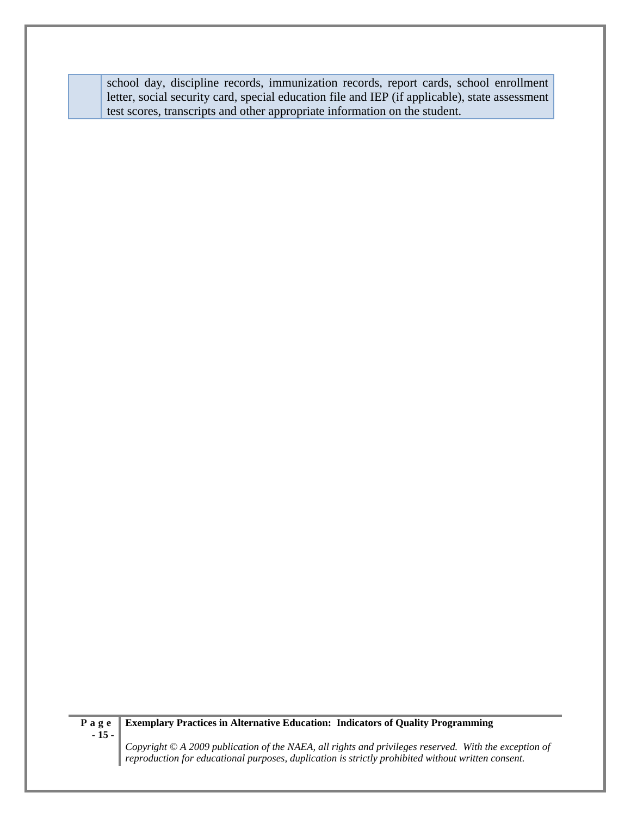school day, discipline records, immunization records, report cards, school enrollment letter, social security card, special education file and IEP (if applicable), state assessment test scores, transcripts and other appropriate information on the student.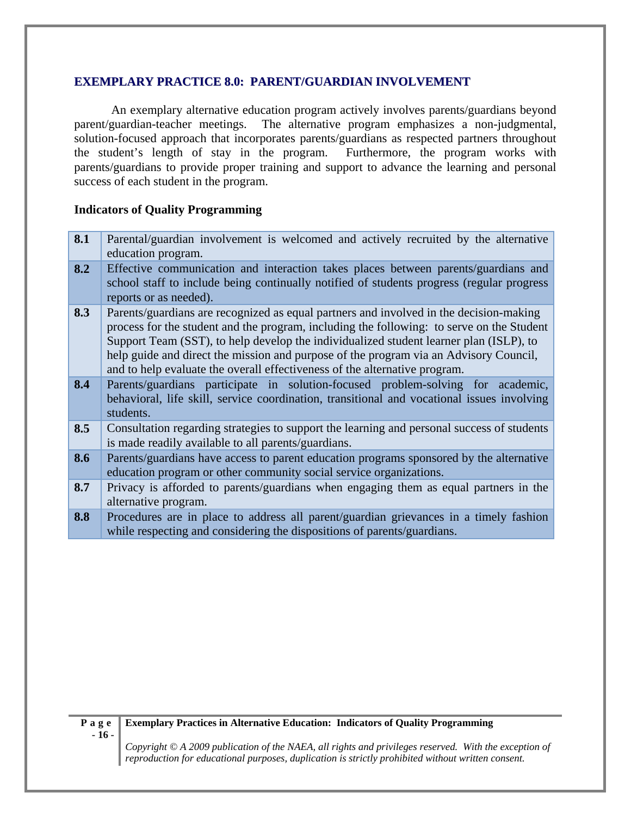#### **EXEMPLARY PRACTICE 8.0: PARENT/GUARDIAN INVOLVEMENT**

An exemplary alternative education program actively involves parents/guardians beyond parent/guardian-teacher meetings. The alternative program emphasizes a non-judgmental, solution-focused approach that incorporates parents/guardians as respected partners throughout the student's length of stay in the program. Furthermore, the program works with parents/guardians to provide proper training and support to advance the learning and personal success of each student in the program.

#### **Indicators of Quality Programming**

- **8.1** Parental/guardian involvement is welcomed and actively recruited by the alternative education program.
- **8.2** Effective communication and interaction takes places between parents/guardians and school staff to include being continually notified of students progress (regular progress reports or as needed).
- **8.3** Parents/guardians are recognized as equal partners and involved in the decision-making process for the student and the program, including the following: to serve on the Student Support Team (SST), to help develop the individualized student learner plan (ISLP), to help guide and direct the mission and purpose of the program via an Advisory Council, and to help evaluate the overall effectiveness of the alternative program.
- **8.4** Parents/guardians participate in solution-focused problem-solving for academic, behavioral, life skill, service coordination, transitional and vocational issues involving students.
- **8.5** Consultation regarding strategies to support the learning and personal success of students is made readily available to all parents/guardians.
- **8.6** Parents/guardians have access to parent education programs sponsored by the alternative education program or other community social service organizations.
- **8.7** Privacy is afforded to parents/guardians when engaging them as equal partners in the alternative program.
- **8.8** Procedures are in place to address all parent/guardian grievances in a timely fashion while respecting and considering the dispositions of parents/guardians.

#### **Exemplary Practices in Alternative Education: Indicators of Quality Programming**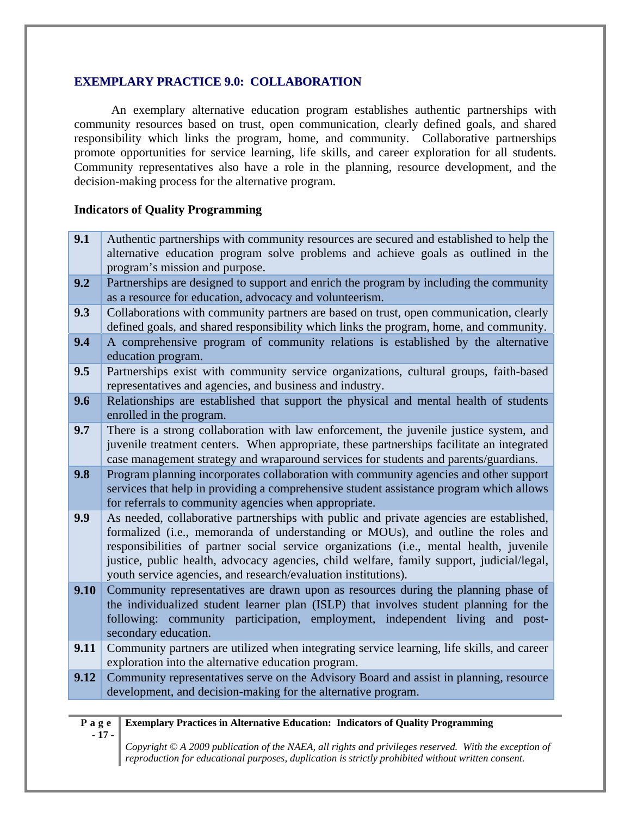#### **EXEMPLARY PRACTICE 9.0: COLLABORATION**

An exemplary alternative education program establishes authentic partnerships with community resources based on trust, open communication, clearly defined goals, and shared responsibility which links the program, home, and community. Collaborative partnerships promote opportunities for service learning, life skills, and career exploration for all students. Community representatives also have a role in the planning, resource development, and the decision-making process for the alternative program.

#### **Indicators of Quality Programming**

- **Page 9.1** Authentic partnerships with community resources are secured and established to help the alternative education program solve problems and achieve goals as outlined in the program's mission and purpose. **9.2** Partnerships are designed to support and enrich the program by including the community as a resource for education, advocacy and volunteerism. **9.3** Collaborations with community partners are based on trust, open communication, clearly defined goals, and shared responsibility which links the program, home, and community. **9.4** A comprehensive program of community relations is established by the alternative education program. **9.5** Partnerships exist with community service organizations, cultural groups, faith-based representatives and agencies, and business and industry. **9.6** Relationships are established that support the physical and mental health of students enrolled in the program. **9.7** There is a strong collaboration with law enforcement, the juvenile justice system, and juvenile treatment centers. When appropriate, these partnerships facilitate an integrated case management strategy and wraparound services for students and parents/guardians. **9.8** Program planning incorporates collaboration with community agencies and other support services that help in providing a comprehensive student assistance program which allows for referrals to community agencies when appropriate. **9.9** As needed, collaborative partnerships with public and private agencies are established, formalized (i.e., memoranda of understanding or MOUs), and outline the roles and responsibilities of partner social service organizations (i.e., mental health, juvenile justice, public health, advocacy agencies, child welfare, family support, judicial/legal, youth service agencies, and research/evaluation institutions). **9.10** Community representatives are drawn upon as resources during the planning phase of the individualized student learner plan (ISLP) that involves student planning for the following: community participation, employment, independent living and postsecondary education. **9.11** Community partners are utilized when integrating service learning, life skills, and career exploration into the alternative education program. **9.12** Community representatives serve on the Advisory Board and assist in planning, resource development, and decision-making for the alternative program.
	- **17**

#### **Exemplary Practices in Alternative Education: Indicators of Quality Programming**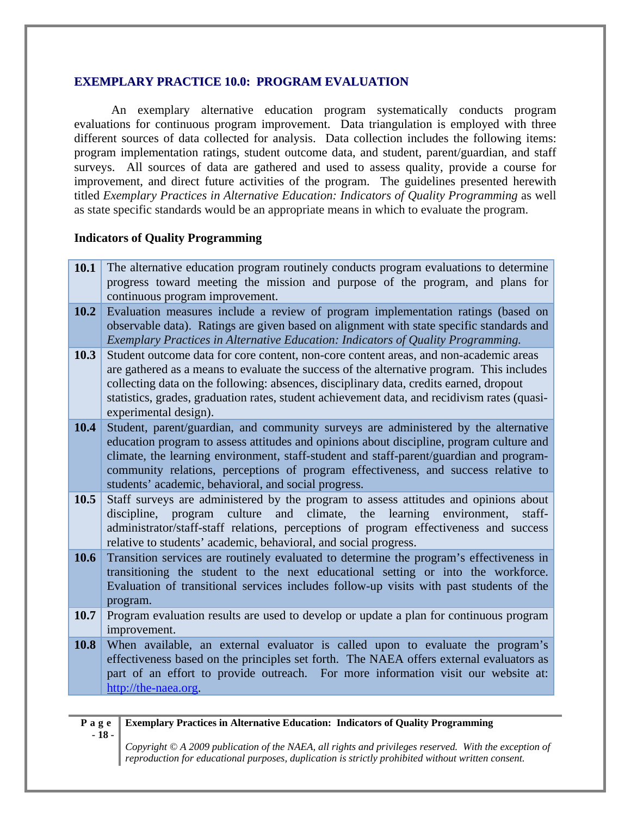#### **EXEMPLARY PRACTICE 10.0: PROGRAM EVALUATION**

An exemplary alternative education program systematically conducts program evaluations for continuous program improvement. Data triangulation is employed with three different sources of data collected for analysis. Data collection includes the following items: program implementation ratings, student outcome data, and student, parent/guardian, and staff surveys. All sources of data are gathered and used to assess quality, provide a course for improvement, and direct future activities of the program. The guidelines presented herewith titled *Exemplary Practices in Alternative Education: Indicators of Quality Programming* as well as state specific standards would be an appropriate means in which to evaluate the program.

#### **Indicators of Quality Programming**

| <b>10.1</b> The alternative education program routinely conducts program evaluations to determine |
|---------------------------------------------------------------------------------------------------|
| progress toward meeting the mission and purpose of the program, and plans for                     |
| continuous program improvement.                                                                   |
| 10.2 Evaluation measures include a review of program implementation ratings (based on             |

- observable data). Ratings are given based on alignment with state specific standards and *Exemplary Practices in Alternative Education: Indicators of Quality Programming.*
- **10.3** Student outcome data for core content, non-core content areas, and non-academic areas are gathered as a means to evaluate the success of the alternative program. This includes collecting data on the following: absences, disciplinary data, credits earned, dropout statistics, grades, graduation rates, student achievement data, and recidivism rates (quasiexperimental design).
- **10.4** Student, parent/guardian, and community surveys are administered by the alternative education program to assess attitudes and opinions about discipline, program culture and climate, the learning environment, staff-student and staff-parent/guardian and programcommunity relations, perceptions of program effectiveness, and success relative to students' academic, behavioral, and social progress.
- **10.5** Staff surveys are administered by the program to assess attitudes and opinions about discipline, program culture and climate, the learning environment, staffadministrator/staff-staff relations, perceptions of program effectiveness and success relative to students' academic, behavioral, and social progress.
- **10.6** Transition services are routinely evaluated to determine the program's effectiveness in transitioning the student to the next educational setting or into the workforce. Evaluation of transitional services includes follow-up visits with past students of the program.
- **10.7** Program evaluation results are used to develop or update a plan for continuous program improvement.
- **10.8** When available, an external evaluator is called upon to evaluate the program's effectiveness based on the principles set forth. The NAEA offers external evaluators as part of an effort to provide outreach. For more information visit our website at: http://the-naea.org.

*Copyright © A 2009 publication of the NAEA, all rights and privileges reserved. With the exception of* 

|        | P a g e Exemplary Practices in Alternative Education: Indicators of Quality Programming                      |
|--------|--------------------------------------------------------------------------------------------------------------|
| $-18-$ |                                                                                                              |
|        | $\Box$ Copyright $\odot$ A 2009 publication of the NAEA, all rights and privileges reserved. With the except |
|        | reproduction for educational purposes, duplication is strictly prohibited without written consent.           |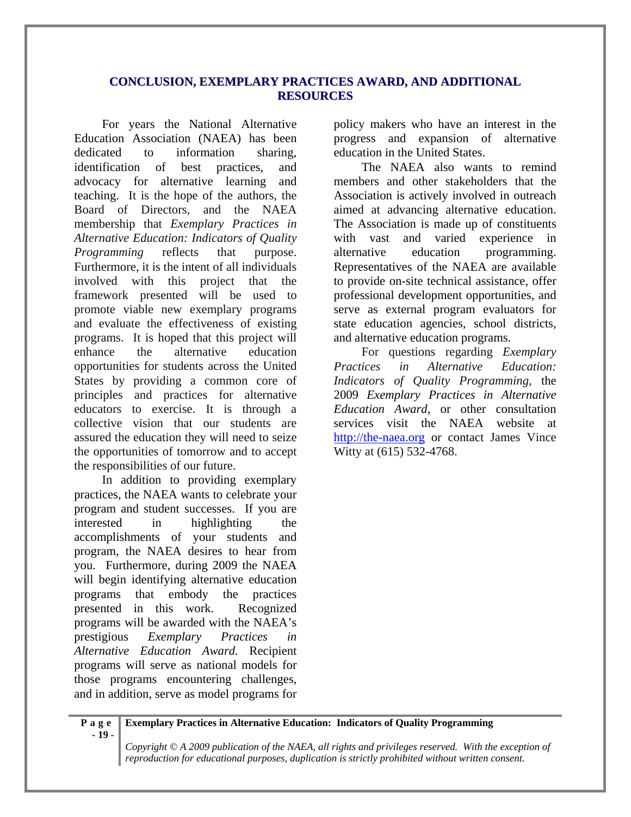#### **CONCLUSION, EXEMPLARY PRACTICES AWARD, AND ADDITIONAL RESOURCES**

For years the National Alternative Education Association (NAEA) has been dedicated to information sharing, identification of best practices, and advocacy for alternative learning and teaching. It is the hope of the authors, the Board of Directors, and the NAEA membership that *Exemplary Practices in Alternative Education: Indicators of Quality Programming* reflects that purpose. Furthermore, it is the intent of all individuals involved with this project that the framework presented will be used to promote viable new exemplary programs and evaluate the effectiveness of existing programs. It is hoped that this project will enhance the alternative education opportunities for students across the United States by providing a common core of principles and practices for alternative educators to exercise. It is through a collective vision that our students are assured the education they will need to seize the opportunities of tomorrow and to accept the responsibilities of our future.

In addition to providing exemplary practices, the NAEA wants to celebrate your program and student successes. If you are interested in highlighting the accomplishments of your students and program, the NAEA desires to hear from you. Furthermore, during 2009 the NAEA will begin identifying alternative education programs that embody the practices presented in this work. Recognized programs will be awarded with the NAEA's prestigious *Exemplary Practices in Alternative Education Award.* Recipient programs will serve as national models for those programs encountering challenges, and in addition, serve as model programs for

policy makers who have an interest in the progress and expansion of alternative education in the United States.

The NAEA also wants to remind members and other stakeholders that the Association is actively involved in outreach aimed at advancing alternative education. The Association is made up of constituents with vast and varied experience in alternative education programming. Representatives of the NAEA are available to provide on-site technical assistance, offer professional development opportunities, and serve as external program evaluators for state education agencies, school districts, and alternative education programs.

For questions regarding *Exemplary Practices in Alternative Education: Indicators of Quality Programming,* the 2009 *Exemplary Practices in Alternative Education Award,* or other consultation services visit the NAEA website at http://the-naea.org or contact James Vince Witty at (615) 532-4768.

**Page - 19 - Exemplary Practices in Alternative Education: Indicators of Quality Programming**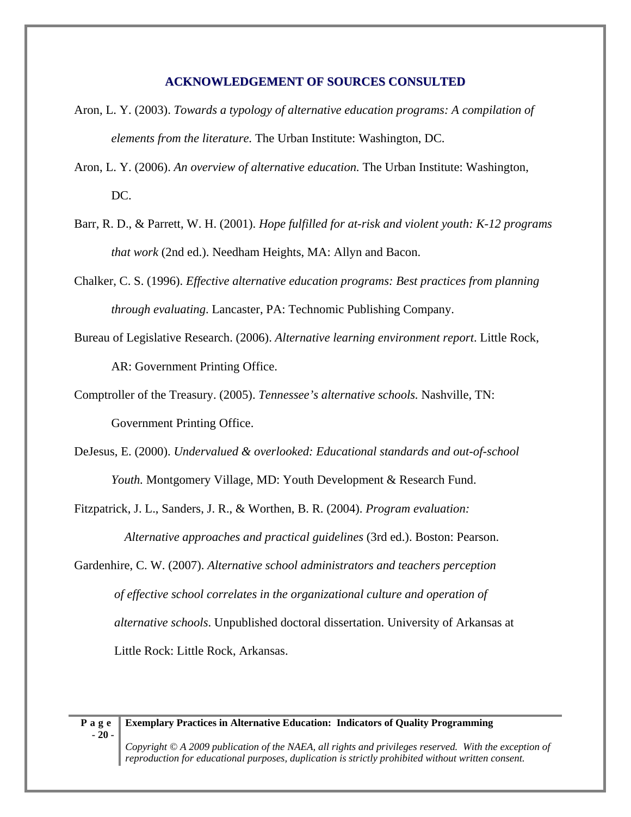#### **ACKNOWLEDGEMENT OF SOURCES CONSULTED**

- Aron, L. Y. (2003). *Towards a typology of alternative education programs: A compilation of elements from the literature.* The Urban Institute: Washington, DC.
- Aron, L. Y. (2006). *An overview of alternative education.* The Urban Institute: Washington, DC.
- Barr, R. D., & Parrett, W. H. (2001). *Hope fulfilled for at-risk and violent youth: K-12 programs that work* (2nd ed.). Needham Heights, MA: Allyn and Bacon.
- Chalker, C. S. (1996). *Effective alternative education programs: Best practices from planning through evaluating*. Lancaster, PA: Technomic Publishing Company.
- Bureau of Legislative Research. (2006). *Alternative learning environment report*. Little Rock, AR: Government Printing Office.
- Comptroller of the Treasury. (2005). *Tennessee's alternative schools.* Nashville, TN: Government Printing Office.
- DeJesus, E. (2000). *Undervalued & overlooked: Educational standards and out-of-school Youth.* Montgomery Village, MD: Youth Development & Research Fund.
- Fitzpatrick, J. L., Sanders, J. R., & Worthen, B. R. (2004). *Program evaluation: Alternative approaches and practical guidelines* (3rd ed.). Boston: Pearson.
- Gardenhire, C. W. (2007). *Alternative school administrators and teachers perception of effective school correlates in the organizational culture and operation of alternative schools*. Unpublished doctoral dissertation. University of Arkansas at Little Rock: Little Rock, Arkansas.

#### **Exemplary Practices in Alternative Education: Indicators of Quality Programming**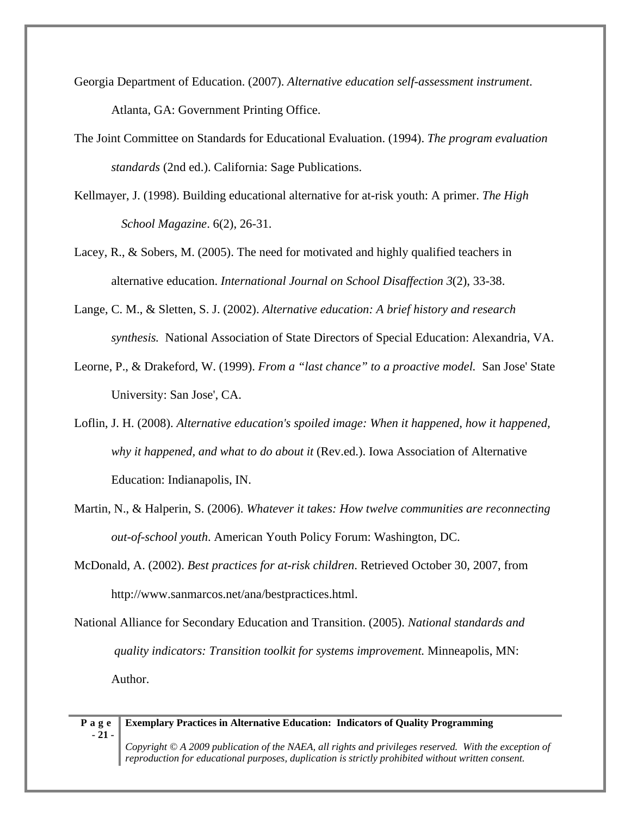- Georgia Department of Education. (2007). *Alternative education self-assessment instrument*. Atlanta, GA: Government Printing Office.
- The Joint Committee on Standards for Educational Evaluation. (1994). *The program evaluation standards* (2nd ed.). California: Sage Publications.
- Kellmayer, J. (1998). Building educational alternative for at-risk youth: A primer. *The High School Magazine*. 6(2), 26-31.
- Lacey, R., & Sobers, M. (2005). The need for motivated and highly qualified teachers in alternative education. *International Journal on School Disaffection 3*(2), 33-38.
- Lange, C. M., & Sletten, S. J. (2002). *Alternative education: A brief history and research synthesis.* National Association of State Directors of Special Education: Alexandria, VA.
- Leorne, P., & Drakeford, W. (1999). *From a "last chance" to a proactive model.* San Jose' State University: San Jose', CA.
- Loflin, J. H. (2008). *Alternative education's spoiled image: When it happened, how it happened, why it happened, and what to do about it* (Rev.ed.). Iowa Association of Alternative Education: Indianapolis, IN.
- Martin, N., & Halperin, S. (2006). *Whatever it takes: How twelve communities are reconnecting out-of-school youth*. American Youth Policy Forum: Washington, DC.
- McDonald, A. (2002). *Best practices for at-risk children*. Retrieved October 30, 2007, from http://www.sanmarcos.net/ana/bestpractices.html.
- National Alliance for Secondary Education and Transition. (2005). *National standards and quality indicators: Transition toolkit for systems improvement.* Minneapolis, MN: Author.

*reproduction for educational purposes, duplication is strictly prohibited without written consent.*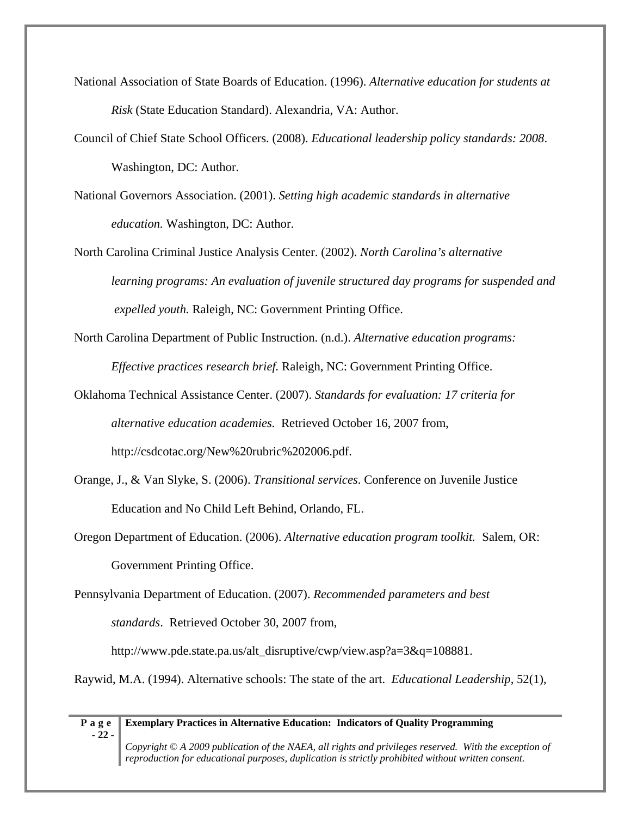- National Association of State Boards of Education. (1996). *Alternative education for students at Risk* (State Education Standard). Alexandria, VA: Author.
- Council of Chief State School Officers. (2008). *Educational leadership policy standards: 2008*. Washington, DC: Author.
- National Governors Association. (2001). *Setting high academic standards in alternative education.* Washington, DC: Author.
- North Carolina Criminal Justice Analysis Center. (2002). *North Carolina's alternative learning programs: An evaluation of juvenile structured day programs for suspended and expelled youth.* Raleigh, NC: Government Printing Office.
- North Carolina Department of Public Instruction. (n.d.). *Alternative education programs: Effective practices research brief.* Raleigh, NC: Government Printing Office.
- Oklahoma Technical Assistance Center. (2007). *Standards for evaluation: 17 criteria for alternative education academies.* Retrieved October 16, 2007 from, http://csdcotac.org/New%20rubric%202006.pdf.
- Orange, J., & Van Slyke, S. (2006). *Transitional services*. Conference on Juvenile Justice Education and No Child Left Behind, Orlando, FL.
- Oregon Department of Education. (2006). *Alternative education program toolkit.* Salem, OR: Government Printing Office.

Pennsylvania Department of Education. (2007). *Recommended parameters and best standards*. Retrieved October 30, 2007 from,

http://www.pde.state.pa.us/alt\_disruptive/cwp/view.asp?a=3&q=108881.

Raywid, M.A. (1994). Alternative schools: The state of the art. *Educational Leadership*, 52(1),

#### **Page Exemplary Practices in Alternative Education: Indicators of Quality Programming**

**- 22 -**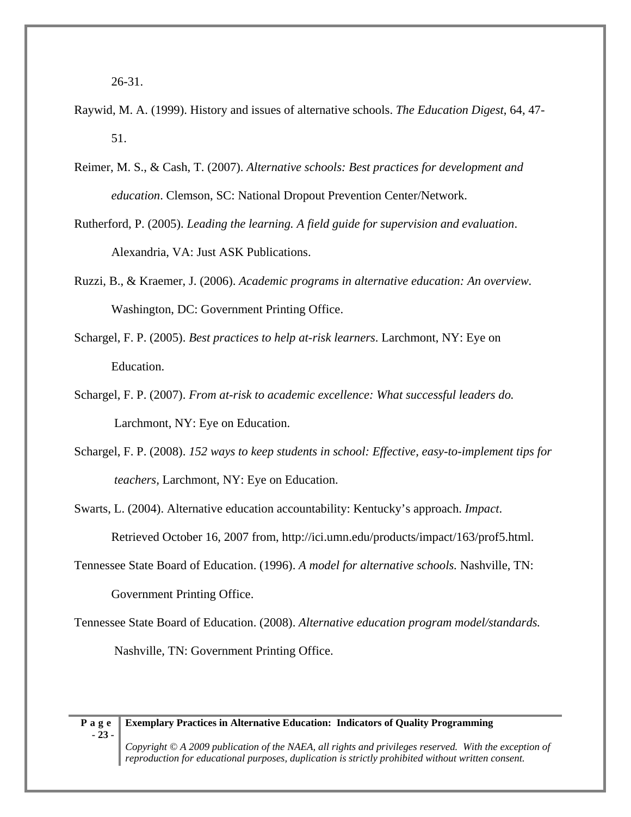- Raywid, M. A. (1999). History and issues of alternative schools. *The Education Digest*, 64, 47- 51.
- Reimer, M. S., & Cash, T. (2007). *Alternative schools: Best practices for development and education*. Clemson, SC: National Dropout Prevention Center/Network.
- Rutherford, P. (2005). *Leading the learning. A field guide for supervision and evaluation*. Alexandria, VA: Just ASK Publications.
- Ruzzi, B., & Kraemer, J. (2006). *Academic programs in alternative education: An overview.* Washington, DC: Government Printing Office.
- Schargel, F. P. (2005). *Best practices to help at-risk learners*. Larchmont, NY: Eye on Education.
- Schargel, F. P. (2007). *From at-risk to academic excellence: What successful leaders do.*  Larchmont, NY: Eye on Education.
- Schargel, F. P. (2008). *152 ways to keep students in school: Effective, easy-to-implement tips for teachers,* Larchmont, NY: Eye on Education.

Swarts, L. (2004). Alternative education accountability: Kentucky's approach. *Impact*. Retrieved October 16, 2007 from, http://ici.umn.edu/products/impact/163/prof5.html.

- Tennessee State Board of Education. (1996). *A model for alternative schools.* Nashville, TN: Government Printing Office.
- Tennessee State Board of Education. (2008). *Alternative education program model/standards.*  Nashville, TN: Government Printing Office.

#### **Exemplary Practices in Alternative Education: Indicators of Quality Programming**